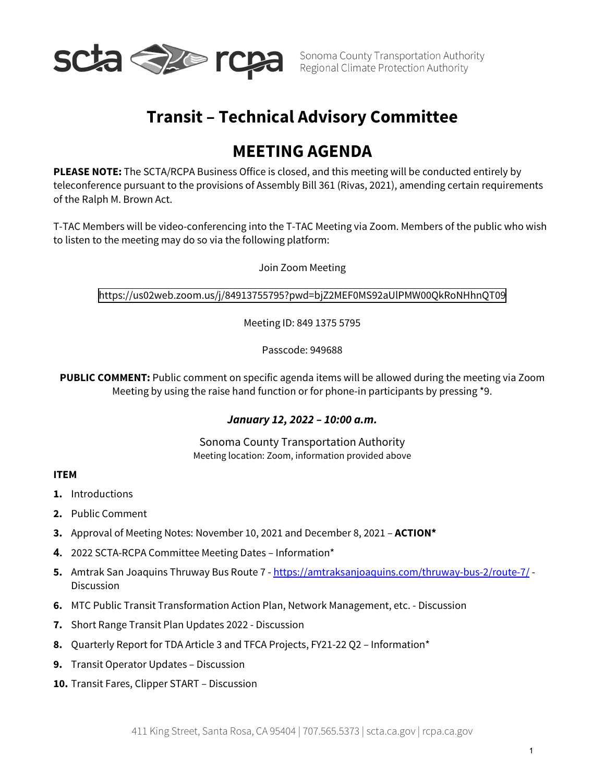

# **Transit – Technical Advisory Committee**

# **MEETING AGENDA**

**PLEASE NOTE:** The SCTA/RCPA Business Office is closed, and this meeting will be conducted entirely by teleconference pursuant to the provisions of Assembly Bill 361 (Rivas, 2021), amending certain requirements of the Ralph M. Brown Act.

T-TAC Members will be video-conferencing into the T-TAC Meeting via Zoom. Members of the public who wish to listen to the meeting may do so via the following platform:

Join Zoom Meeting

<https://us02web.zoom.us/j/84913755795?pwd=bjZ2MEF0MS92aUlPMW00QkRoNHhnQT09>

Meeting ID: 849 1375 5795

Passcode: 949688

**PUBLIC COMMENT:** Public comment on specific agenda items will be allowed during the meeting via Zoom Meeting by using the raise hand function or for phone-in participants by pressing \*9.

#### *January 12, 2022 – 10:00 a.m.*

Sonoma County Transportation Authority Meeting location: Zoom, information provided above

#### **ITEM**

- **1.** Introductions
- **2.** Public Comment
- **3.** Approval of Meeting Notes: November 10, 2021 and December 8, 2021 **ACTION\***
- **4.** 2022 SCTA-RCPA Committee Meeting Dates Information\*
- **5.** Amtrak San Joaquins Thruway Bus Route 7 <https://amtraksanjoaquins.com/thruway-bus-2/route-7/> Discussion
- **6.** MTC Public Transit Transformation Action Plan, Network Management, etc. Discussion
- **7.** Short Range Transit Plan Updates 2022 Discussion
- **8.** Quarterly Report for TDA Article 3 and TFCA Projects, FY21-22 Q2 Information\*
- **9.** Transit Operator Updates Discussion
- **10.** Transit Fares, Clipper START Discussion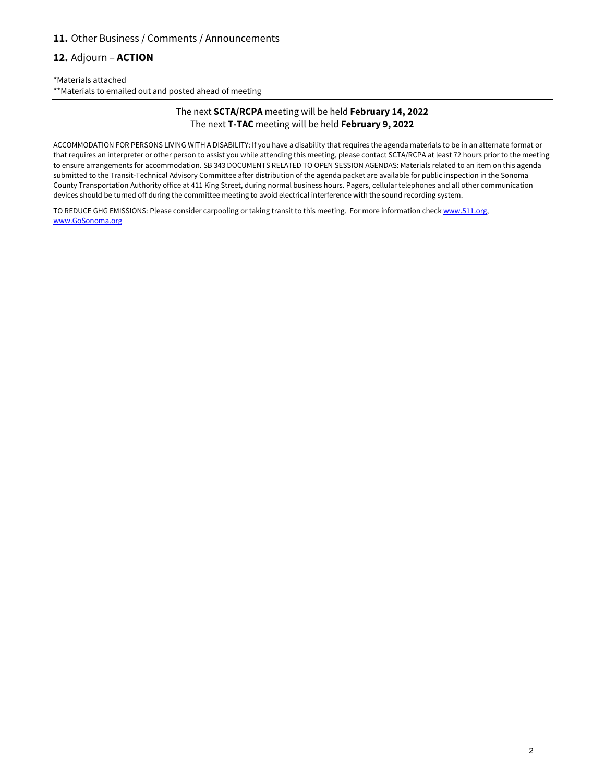#### **11.** Other Business / Comments / Announcements

#### **12.** Adjourn – **ACTION**

\*Materials attached \*\*Materials to emailed out and posted ahead of meeting

#### The next **SCTA/RCPA** meeting will be held **February 14, 2022** The next **T-TAC** meeting will be held **February 9, 2022**

ACCOMMODATION FOR PERSONS LIVING WITH A DISABILITY: If you have a disability that requires the agenda materials to be in an alternate format or that requires an interpreter or other person to assist you while attending this meeting, please contact SCTA/RCPA at least 72 hours prior to the meeting to ensure arrangements for accommodation. SB 343 DOCUMENTS RELATED TO OPEN SESSION AGENDAS: Materials related to an item on this agenda submitted to the Transit-Technical Advisory Committee after distribution of the agenda packet are available for public inspection in the Sonoma County Transportation Authority office at 411 King Street, during normal business hours. Pagers, cellular telephones and all other communication devices should be turned off during the committee meeting to avoid electrical interference with the sound recording system.

TO REDUCE GHG EMISSIONS: Please consider carpooling or taking transit to this meeting. For more information chec[k www.511.org,](http://www.511.org/) [www.GoSonoma.org](http://www.gosonoma.org/)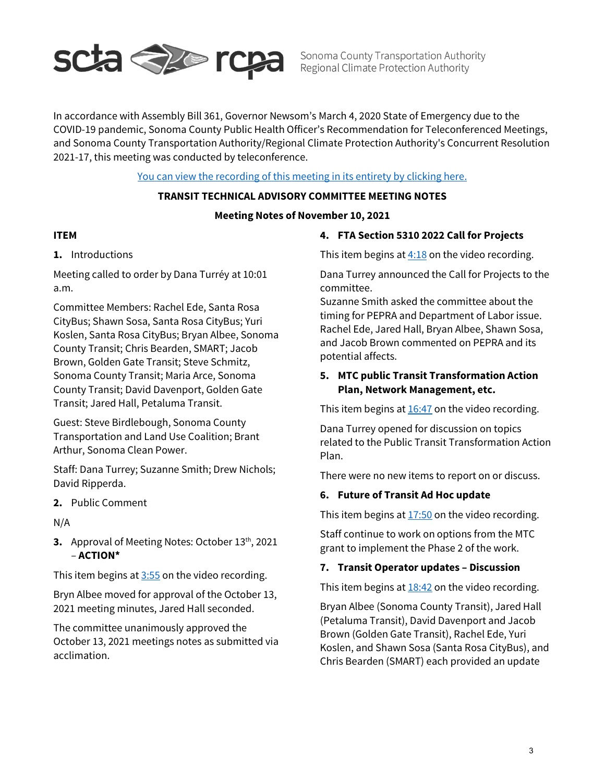

Sonoma County Transportation Authority Regional Climate Protection Authority

In accordance with Assembly Bill 361, Governor Newsom's March 4, 2020 State of Emergency due to the COVID-19 pandemic, Sonoma County Public Health Officer's Recommendation for Teleconferenced Meetings, and Sonoma County Transportation Authority/Regional Climate Protection Authority's Concurrent Resolution 2021-17, this meeting was conducted by teleconference.

### [You can view the recording of this meeting in its entirety by clicking here.](https://www.youtube.com/watch?v=4Pjb5_eoJ4I)

#### **TRANSIT TECHNICAL ADVISORY COMMITTEE MEETING NOTES**

#### **Meeting Notes of November 10, 2021**

#### **ITEM**

# **1.** Introductions

Meeting called to order by Dana Turréy at 10:01 a.m.

Committee Members: Rachel Ede, Santa Rosa CityBus; Shawn Sosa, Santa Rosa CityBus; Yuri Koslen, Santa Rosa CityBus; Bryan Albee, Sonoma County Transit; Chris Bearden, SMART; Jacob Brown, Golden Gate Transit; Steve Schmitz, Sonoma County Transit; Maria Arce, Sonoma County Transit; David Davenport, Golden Gate Transit; Jared Hall, Petaluma Transit.

Guest: Steve Birdlebough, Sonoma County Transportation and Land Use Coalition; Brant Arthur, Sonoma Clean Power.

Staff: Dana Turrey; Suzanne Smith; Drew Nichols; David Ripperda.

**2.** Public Comment

N/A

**3.** Approval of Meeting Notes: October 13<sup>th</sup>, 2021 – **ACTION\***

This item begins at  $3:55$  on the video recording.

Bryn Albee moved for approval of the October 13, 2021 meeting minutes, Jared Hall seconded.

The committee unanimously approved the October 13, 2021 meetings notes as submitted via acclimation.

#### **4. FTA Section 5310 2022 Call for Projects**

This item begins at  $4:18$  on the video recording.

Dana Turrey announced the Call for Projects to the committee.

Suzanne Smith asked the committee about the timing for PEPRA and Department of Labor issue. Rachel Ede, Jared Hall, Bryan Albee, Shawn Sosa, and Jacob Brown commented on PEPRA and its potential affects.

# **5. MTC public Transit Transformation Action Plan, Network Management, etc.**

This item begins at  $16:47$  on the video recording.

Dana Turrey opened for discussion on topics related to the Public Transit Transformation Action Plan.

There were no new items to report on or discuss.

#### **6. Future of Transit Ad Hoc update**

This item begins at  $17:50$  on the video recording.

Staff continue to work on options from the MTC grant to implement the Phase 2 of the work.

# **7. Transit Operator updates – Discussion**

This item begins at  $18:42$  on the video recording.

Bryan Albee (Sonoma County Transit), Jared Hall (Petaluma Transit), David Davenport and Jacob Brown (Golden Gate Transit), Rachel Ede, Yuri Koslen, and Shawn Sosa (Santa Rosa CityBus), and Chris Bearden (SMART) each provided an update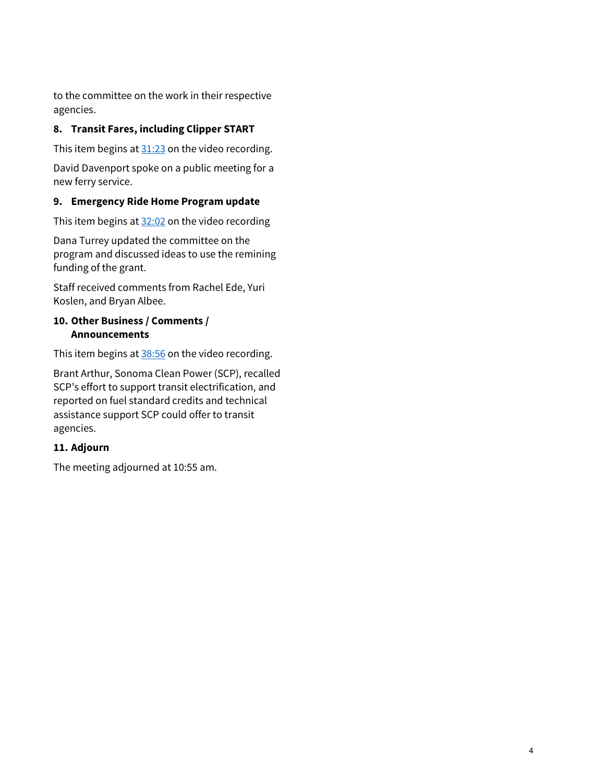to the committee on the work in their respective agencies.

# **8. Transit Fares, including Clipper START**

This item begins at  $31:23$  on the video recording.

David Davenport spoke on a public meeting for a new ferry service.

# **9. Emergency Ride Home Program update**

This item begins at  $32:02$  on the video recording

Dana Turrey updated the committee on the program and discussed ideas to use the remining funding of the grant.

Staff received comments from Rachel Ede, Yuri Koslen, and Bryan Albee.

# **10. Other Business / Comments / Announcements**

This item begins at [38:5](https://www.youtube.com/watch?v=tW3y09ZwMfI&t=2336s)6 on the video recording.

Brant Arthur, Sonoma Clean Power (SCP), recalled SCP's effort to support transit electrification, and reported on fuel standard credits and technical assistance support SCP could offer to transit agencies.

# **11. Adjourn**

The meeting adjourned at 10:55 am.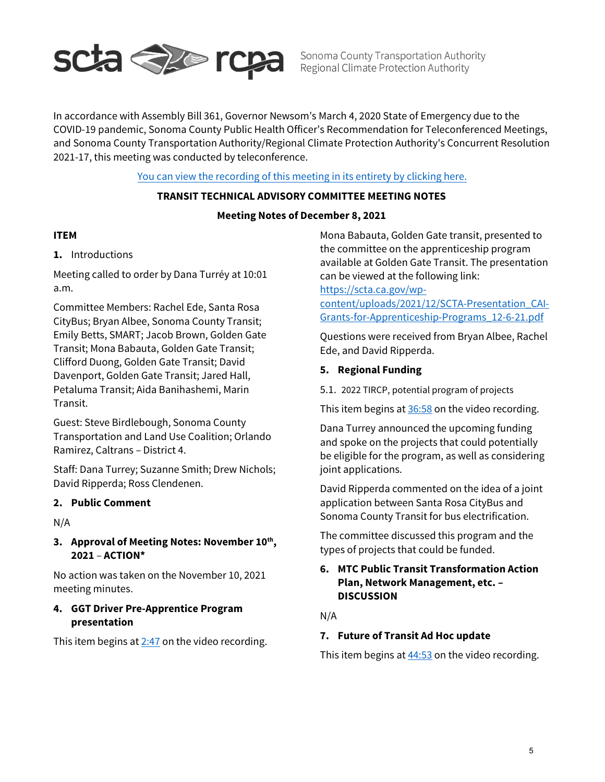

Sonoma County Transportation Authority Sonoma County Transportation Authority<br>Regional Climate Protection Authority

In accordance with Assembly Bill 361, Governor Newsom's March 4, 2020 State of Emergency due to the COVID-19 pandemic, Sonoma County Public Health Officer's Recommendation for Teleconferenced Meetings, and Sonoma County Transportation Authority/Regional Climate Protection Authority's Concurrent Resolution 2021-17, this meeting was conducted by teleconference.

# You can view [the recording](https://www.youtube.com/watch?v=X4gdPqzTWW0) of this meeting in its entirety by clicking here.

#### **TRANSIT TECHNICAL ADVISORY COMMITTEE MEETING NOTES**

#### **Meeting Notes of December 8, 2021**

#### **ITEM**

# **1.** Introductions

Meeting called to order by Dana Turréy at 10:01 a.m.

Committee Members: Rachel Ede, Santa Rosa CityBus; Bryan Albee, Sonoma County Transit; Emily Betts, SMART; Jacob Brown, Golden Gate Transit; Mona Babauta, Golden Gate Transit; Clifford Duong, Golden Gate Transit; David Davenport, Golden Gate Transit; Jared Hall, Petaluma Transit; Aida Banihashemi, Marin Transit.

Guest: Steve Birdlebough, Sonoma County Transportation and Land Use Coalition; Orlando Ramirez, Caltrans – District 4.

Staff: Dana Turrey; Suzanne Smith; Drew Nichols; David Ripperda; Ross Clendenen.

#### **2. Public Comment**

N/A

# **3. Approval of Meeting Notes: November 10th, 2021** – **ACTION\***

No action was taken on the November 10, 2021 meeting minutes.

# **4. GGT Driver Pre-Apprentice Program presentation**

This item begins at  $2:47$  on the video recording.

Mona Babauta, Golden Gate transit, presented to the committee on the apprenticeship program available at Golden Gate Transit. The presentation can be viewed at the following link:

[https://scta.ca.gov/wp-](https://scta.ca.gov/wp-content/uploads/2021/12/SCTA-Presentation_CAI-Grants-for-Apprenticeship-Programs_12-6-21.pdf)

[content/uploads/2021/12/SCTA-Presentation\\_CAI-](https://scta.ca.gov/wp-content/uploads/2021/12/SCTA-Presentation_CAI-Grants-for-Apprenticeship-Programs_12-6-21.pdf)[Grants-for-Apprenticeship-Programs\\_12-6-21.pdf](https://scta.ca.gov/wp-content/uploads/2021/12/SCTA-Presentation_CAI-Grants-for-Apprenticeship-Programs_12-6-21.pdf)

Questions were received from Bryan Albee, Rachel Ede, and David Ripperda.

#### **5. Regional Funding**

5.1. 2022 TIRCP, potential program of projects

This item begins at [36:58](https://www.youtube.com/watch?v=tW3y09ZwMfI&t=1007s) on the video recording.

Dana Turrey announced the upcoming funding and spoke on the projects that could potentially be eligible for the program, as well as considering joint applications.

David Ripperda commented on the idea of a joint application between Santa Rosa CityBus and Sonoma County Transit for bus electrification.

The committee discussed this program and the types of projects that could be funded.

# **6. MTC Public Transit Transformation Action Plan, Network Management, etc. – DISCUSSION**

N/A

#### **7. Future of Transit Ad Hoc update**

This item begins at  $44:53$  on the video recording.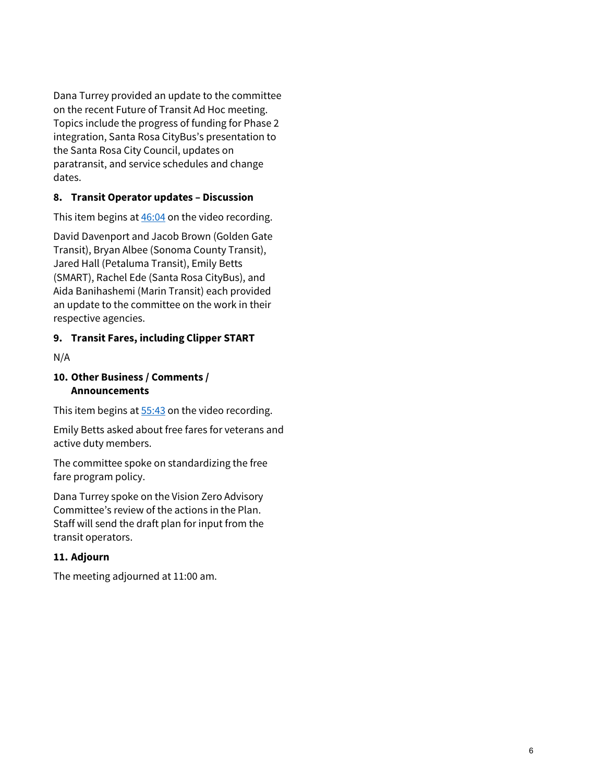Dana Turrey provided an update to the committee on the recent Future of Transit Ad Hoc meeting. Topics include the progress of funding for Phase 2 integration, Santa Rosa CityBus's presentation to the Santa Rosa City Council, updates on paratransit, and service schedules and change dates.

# **8. Transit Operator updates – Discussion**

This item begins at  $46:04$  on the video recording.

David Davenport and Jacob Brown (Golden Gate Transit), Bryan Albee (Sonoma County Transit), Jared Hall (Petaluma Transit), Emily Betts (SMART), Rachel Ede (Santa Rosa CityBus), and Aida Banihashemi (Marin Transit) each provided an update to the committee on the work in their respective agencies.

# **9. Transit Fares, including Clipper START**

N/A

### **10. Other Business / Comments / Announcements**

This item begins at [55:4](https://www.youtube.com/watch?v=tW3y09ZwMfI&t=2336s)3 on the video recording.

Emily Betts asked about free fares for veterans and active duty members.

The committee spoke on standardizing the free fare program policy.

Dana Turrey spoke on the Vision Zero Advisory Committee's review of the actions in the Plan. Staff will send the draft plan for input from the transit operators.

# **11. Adjourn**

The meeting adjourned at 11:00 am.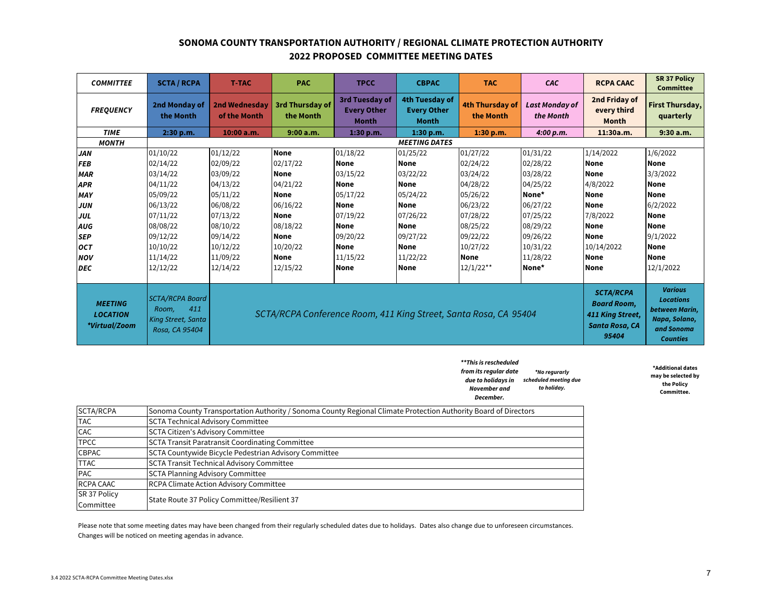#### **SONOMA COUNTY TRANSPORTATION AUTHORITY / REGIONAL CLIMATE PROTECTION AUTHORITY 2022 PROPOSED COMMITTEE MEETING DATES**

| <b>COMMITTEE</b>                                   | <b>SCTA / RCPA</b>                                                             | <b>T-TAC</b>                                                     | <b>PAC</b>                   | <b>TPCC</b>                                          | <b>CBPAC</b>                                         | <b>TAC</b>                   | CAC                                                                                          | <b>RCPA CAAC</b>                                                                                       | <b>SR 37 Policy</b><br><b>Committee</b> |
|----------------------------------------------------|--------------------------------------------------------------------------------|------------------------------------------------------------------|------------------------------|------------------------------------------------------|------------------------------------------------------|------------------------------|----------------------------------------------------------------------------------------------|--------------------------------------------------------------------------------------------------------|-----------------------------------------|
| <b>FREQUENCY</b>                                   | 2nd Monday of<br>the Month                                                     | <b>2nd Wednesday</b><br>of the Month                             | 3rd Thursday of<br>the Month | 3rd Tuesday of<br><b>Every Other</b><br><b>Month</b> | 4th Tuesday of<br><b>Every Other</b><br><b>Month</b> | 4th Thursday of<br>the Month | <b>Last Monday of</b><br>the Month                                                           | 2nd Friday of<br>every third<br><b>Month</b>                                                           | <b>First Thursday,</b><br>quarterly     |
| <b>TIME</b>                                        | 2:30 p.m.                                                                      | 10:00 a.m.                                                       | 9:00 a.m.                    | 1:30 p.m.                                            | 1:30 p.m.                                            | 1:30 p.m.                    | 4:00 p.m.                                                                                    | 11:30a.m.                                                                                              | 9:30a.m.                                |
| <b>MONTH</b>                                       |                                                                                | <b>MEETING DATES</b>                                             |                              |                                                      |                                                      |                              |                                                                                              |                                                                                                        |                                         |
| <b>JAN</b>                                         | 01/10/22                                                                       | 01/12/22                                                         | <b>None</b>                  | 01/18/22                                             | 01/25/22                                             | 01/27/22                     | 01/31/22                                                                                     | 1/14/2022                                                                                              | 1/6/2022                                |
| <b>FEB</b>                                         | 02/14/22                                                                       | 02/09/22                                                         | 02/17/22                     | None                                                 | None                                                 | 02/24/22                     | 02/28/22                                                                                     | <b>None</b>                                                                                            | <b>None</b>                             |
| <b>MAR</b>                                         | 03/14/22                                                                       | 03/09/22                                                         | <b>None</b>                  | 03/15/22                                             | 03/22/22                                             | 03/24/22                     | 03/28/22                                                                                     | None                                                                                                   | 3/3/2022                                |
| <b>APR</b>                                         | 04/11/22                                                                       | 04/13/22                                                         | 04/21/22                     | <b>None</b>                                          | None                                                 | 04/28/22                     | 04/25/22                                                                                     | 4/8/2022                                                                                               | None                                    |
| <b>MAY</b>                                         | 05/09/22                                                                       | 05/11/22                                                         | None                         | 05/17/22                                             | 05/24/22                                             | 05/26/22                     | None*                                                                                        | None                                                                                                   | <b>None</b>                             |
| <b>JUN</b>                                         | 06/13/22                                                                       | 06/08/22                                                         | 06/16/22                     | <b>None</b>                                          | <b>None</b>                                          | 06/23/22                     | 06/27/22                                                                                     | None                                                                                                   | 6/2/2022                                |
| JUL                                                | 07/11/22                                                                       | 07/13/22                                                         | <b>None</b>                  | 07/19/22                                             | 07/26/22                                             | 07/28/22                     | 07/25/22                                                                                     | 7/8/2022                                                                                               | <b>None</b>                             |
| AUG                                                | 08/08/22                                                                       | 08/10/22                                                         | 08/18/22                     | None                                                 | <b>None</b>                                          | 08/25/22                     | 08/29/22                                                                                     | None                                                                                                   | <b>None</b>                             |
| <b>SEP</b>                                         | 09/12/22                                                                       | 09/14/22                                                         | None                         | 09/20/22                                             | 09/27/22                                             | 09/22/22                     | 09/26/22                                                                                     | None                                                                                                   | 9/1/2022                                |
| <b>OCT</b>                                         | 10/10/22                                                                       | 10/12/22                                                         | 10/20/22                     | <b>None</b>                                          | None                                                 | 10/27/22                     | 10/31/22                                                                                     | 10/14/2022                                                                                             | <b>None</b>                             |
| <b>NOV</b>                                         | 11/14/22                                                                       | 11/09/22                                                         | <b>None</b>                  | 11/15/22                                             | 11/22/22                                             | <b>None</b>                  | 11/28/22                                                                                     | None                                                                                                   | <b>None</b>                             |
| <b>DEC</b>                                         | 12/12/22                                                                       | 12/14/22                                                         | 12/15/22                     | None                                                 | None                                                 | $12/1/22**$                  | None*                                                                                        | None                                                                                                   | 12/1/2022                               |
|                                                    |                                                                                |                                                                  |                              |                                                      |                                                      |                              |                                                                                              |                                                                                                        |                                         |
| <b>MEETING</b><br><b>LOCATION</b><br>*Virtual/Zoom | <b>SCTA/RCPA Board</b><br>411<br>Room,<br>King Street, Santa<br>Rosa, CA 95404 | SCTA/RCPA Conference Room, 411 King Street, Santa Rosa, CA 95404 |                              |                                                      |                                                      |                              | <b>SCTA/RCPA</b><br><b>Board Room,</b><br>411 King Street,<br><b>Santa Rosa, CA</b><br>95404 | <b>Various</b><br><b>Locations</b><br>between Marin,<br>Napa, Solano,<br>and Sonoma<br><b>Counties</b> |                                         |

*\*\*This is rescheduled from its regular date due to holidays in scheduled meeting due November and December. \*No regurarly to holiday.*

**\*Additional dates may be selected by the Policy Committee.**

| SCTA/RCPA    | Sonoma County Transportation Authority / Sonoma County Regional Climate Protection Authority Board of Directors |
|--------------|-----------------------------------------------------------------------------------------------------------------|
| <b>TAC</b>   | <b>SCTA Technical Advisory Committee</b>                                                                        |
| CAC          | <b>SCTA Citizen's Advisory Committee</b>                                                                        |
| <b>TPCC</b>  | <b>SCTA Transit Paratransit Coordinating Committee</b>                                                          |
| <b>CBPAC</b> | SCTA Countywide Bicycle Pedestrian Advisory Committee                                                           |
| <b>TTAC</b>  | <b>SCTA Transit Technical Advisory Committee</b>                                                                |
| <b>PAC</b>   | <b>SCTA Planning Advisory Committee</b>                                                                         |
| RCPA CAAC    | <b>RCPA Climate Action Advisory Committee</b>                                                                   |
| SR 37 Policy | State Route 37 Policy Committee/Resilient 37                                                                    |
| Committee    |                                                                                                                 |

Please note that some meeting dates may have been changed from their regularly scheduled dates due to holidays. Dates also change due to unforeseen circumstances. Changes will be noticed on meeting agendas in advance.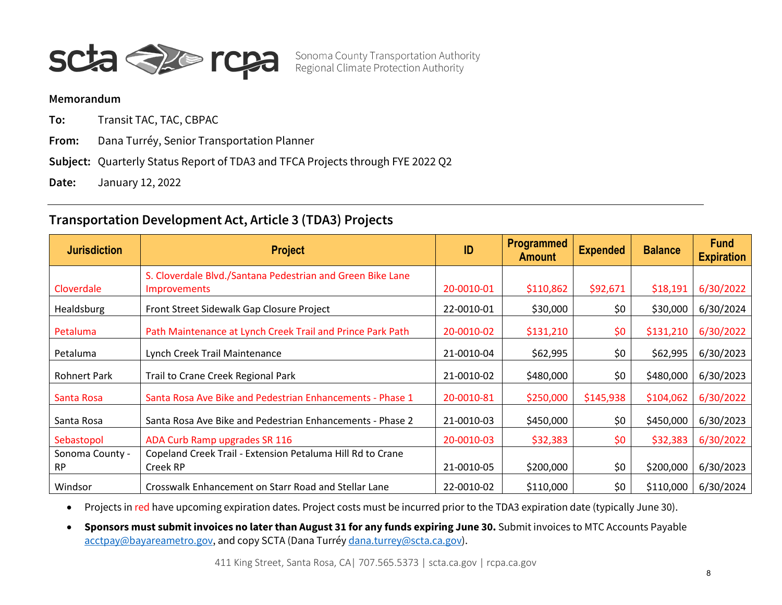

Sonoma County Transportation Authority<br>Regional Climate Protection Authority

#### **Memorandum**

**To:** Transit TAC, TAC, CBPAC

**From:** Dana Turréy, Senior Transportation Planner

**Subject:** Quarterly Status Report of TDA3 and TFCA Projects through FYE 2022 Q2

**Date:** January 12, 2022

# **Transportation Development Act, Article 3 (TDA3) Projects**

| <b>Jurisdiction</b> | <b>Project</b>                                             | ID         | Programmed<br><b>Amount</b> | <b>Expended</b> | <b>Balance</b> | <b>Fund</b><br><b>Expiration</b> |
|---------------------|------------------------------------------------------------|------------|-----------------------------|-----------------|----------------|----------------------------------|
|                     | S. Cloverdale Blvd./Santana Pedestrian and Green Bike Lane |            |                             |                 |                |                                  |
| Cloverdale          | <b>Improvements</b>                                        | 20-0010-01 | \$110,862                   | \$92,671        | \$18,191       | 6/30/2022                        |
| Healdsburg          | Front Street Sidewalk Gap Closure Project                  | 22-0010-01 | \$30,000                    | \$0             | \$30,000       | 6/30/2024                        |
| Petaluma            | Path Maintenance at Lynch Creek Trail and Prince Park Path | 20-0010-02 | \$131,210                   | \$0             | \$131,210      | 6/30/2022                        |
| Petaluma            | Lynch Creek Trail Maintenance                              | 21-0010-04 | \$62,995                    | \$0             | \$62,995       | 6/30/2023                        |
| <b>Rohnert Park</b> | Trail to Crane Creek Regional Park                         | 21-0010-02 | \$480,000                   | \$0             | \$480,000      | 6/30/2023                        |
| Santa Rosa          | Santa Rosa Ave Bike and Pedestrian Enhancements - Phase 1  | 20-0010-81 | \$250,000                   | \$145,938       | \$104,062      | 6/30/2022                        |
| Santa Rosa          | Santa Rosa Ave Bike and Pedestrian Enhancements - Phase 2  | 21-0010-03 | \$450,000                   | \$0             | \$450,000      | 6/30/2023                        |
| Sebastopol          | ADA Curb Ramp upgrades SR 116                              | 20-0010-03 | \$32,383                    | \$0             | \$32,383       | 6/30/2022                        |
| Sonoma County -     | Copeland Creek Trail - Extension Petaluma Hill Rd to Crane |            |                             |                 |                |                                  |
| <b>RP</b>           | Creek RP                                                   | 21-0010-05 | \$200,000                   | \$0             | \$200,000      | 6/30/2023                        |
| Windsor             | Crosswalk Enhancement on Starr Road and Stellar Lane       | 22-0010-02 | \$110,000                   | \$0             | \$110,000      | 6/30/2024                        |

• Projects in red have upcoming expiration dates. Project costs must be incurred prior to the TDA3 expiration date (typically June 30).

• **Sponsors must submit invoices no later than August 31 for any funds expiring June 30.** Submit invoices to MTC Accounts Payable [acctpay@bayareametro.gov,](mailto:acctpay@bayareametro.gov) and copy SCTA (Dana Turré[y dana.turrey@scta.ca.gov\)](mailto:dana.turrey@scta.ca.gov).